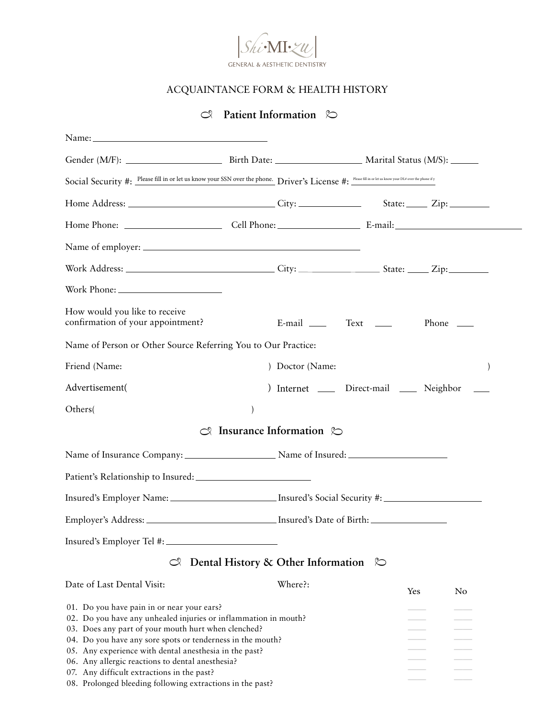

## ACQUAINTANCE FORM & HEALTH HISTORY

## $\heartsuit$  Patient Information  $\heartsuit$

| Social Security #: Please fill in or let us know your SSN over the phone. Driver's License #: Please fill in or let us know your DL <sup>#</sup> over the phone if y                                                                                                                                                                                                                                                                                        |                                             |                                             |              |  |
|-------------------------------------------------------------------------------------------------------------------------------------------------------------------------------------------------------------------------------------------------------------------------------------------------------------------------------------------------------------------------------------------------------------------------------------------------------------|---------------------------------------------|---------------------------------------------|--------------|--|
|                                                                                                                                                                                                                                                                                                                                                                                                                                                             |                                             |                                             |              |  |
|                                                                                                                                                                                                                                                                                                                                                                                                                                                             |                                             |                                             |              |  |
|                                                                                                                                                                                                                                                                                                                                                                                                                                                             |                                             |                                             |              |  |
|                                                                                                                                                                                                                                                                                                                                                                                                                                                             |                                             |                                             |              |  |
|                                                                                                                                                                                                                                                                                                                                                                                                                                                             |                                             |                                             |              |  |
| How would you like to receive<br>confirmation of your appointment?                                                                                                                                                                                                                                                                                                                                                                                          |                                             | E-mail Text ___                             | Phone $\_\_$ |  |
| Name of Person or Other Source Referring You to Our Practice:                                                                                                                                                                                                                                                                                                                                                                                               |                                             |                                             |              |  |
| Friend (Name:                                                                                                                                                                                                                                                                                                                                                                                                                                               |                                             | ) Doctor (Name:                             |              |  |
| Advertisement(                                                                                                                                                                                                                                                                                                                                                                                                                                              |                                             | Internet ______ Direct-mail ______ Neighbor |              |  |
| Others(                                                                                                                                                                                                                                                                                                                                                                                                                                                     |                                             |                                             |              |  |
| ೧೩                                                                                                                                                                                                                                                                                                                                                                                                                                                          | Insurance Information $\infty$              |                                             |              |  |
|                                                                                                                                                                                                                                                                                                                                                                                                                                                             |                                             |                                             |              |  |
|                                                                                                                                                                                                                                                                                                                                                                                                                                                             |                                             |                                             |              |  |
| Insured's Employer Name: __________________________ Insured's Social Security #:                                                                                                                                                                                                                                                                                                                                                                            |                                             |                                             |              |  |
|                                                                                                                                                                                                                                                                                                                                                                                                                                                             |                                             |                                             |              |  |
| Insured's Employer Tel #:                                                                                                                                                                                                                                                                                                                                                                                                                                   |                                             |                                             |              |  |
| $\infty$                                                                                                                                                                                                                                                                                                                                                                                                                                                    | Dental History & Other Information $\infty$ |                                             |              |  |
| Date of Last Dental Visit:                                                                                                                                                                                                                                                                                                                                                                                                                                  | Where?:                                     | Yes                                         | No           |  |
| 01. Do you have pain in or near your ears?<br>02. Do you have any unhealed injuries or inflammation in mouth?<br>03. Does any part of your mouth hurt when clenched?<br>04. Do you have any sore spots or tenderness in the mouth?<br>05. Any experience with dental anesthesia in the past?<br>06. Any allergic reactions to dental anesthesia?<br>07. Any difficult extractions in the past?<br>08. Prolonged bleeding following extractions in the past? |                                             |                                             |              |  |